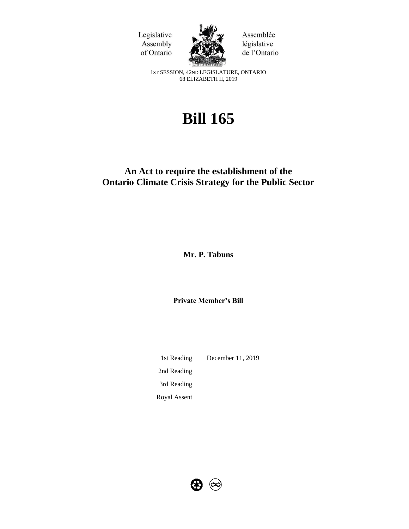



Assemblée législative de l'Ontario

1ST SESSION, 42ND LEGISLATURE, ONTARIO 68 ELIZABETH II, 2019

# **Bill 165**

# **An Act to require the establishment of the Ontario Climate Crisis Strategy for the Public Sector**

**Mr. P. Tabuns**

**Private Member's Bill**

1st Reading December 11, 2019 2nd Reading 3rd Reading Royal Assent

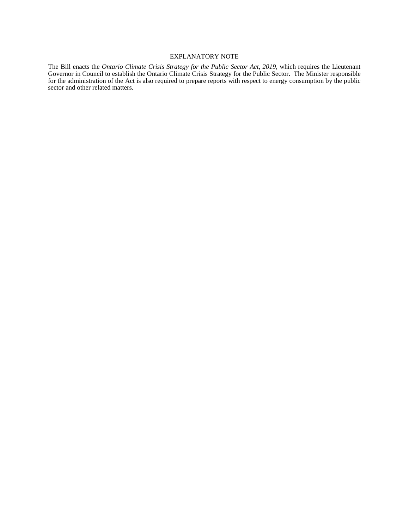#### EXPLANATORY NOTE

The Bill enacts the *Ontario Climate Crisis Strategy for the Public Sector Act, 2019*, which requires the Lieutenant Governor in Council to establish the Ontario Climate Crisis Strategy for the Public Sector. The Minister responsible for the administration of the Act is also required to prepare reports with respect to energy consumption by the public sector and other related matters.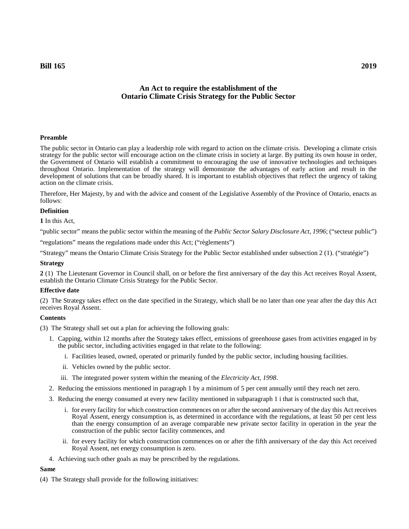# **An Act to require the establishment of the Ontario Climate Crisis Strategy for the Public Sector**

# **Preamble**

The public sector in Ontario can play a leadership role with regard to action on the climate crisis. Developing a climate crisis strategy for the public sector will encourage action on the climate crisis in society at large. By putting its own house in order, the Government of Ontario will establish a commitment to encouraging the use of innovative technologies and techniques throughout Ontario. Implementation of the strategy will demonstrate the advantages of early action and result in the development of solutions that can be broadly shared. It is important to establish objectives that reflect the urgency of taking action on the climate crisis.

Therefore, Her Majesty, by and with the advice and consent of the Legislative Assembly of the Province of Ontario, enacts as follows:

#### **Definition**

**1** In this Act,

"public sector" means the public sector within the meaning of the *Public Sector Salary Disclosure Act, 1996*; ("secteur public")

"regulations" means the regulations made under this Act; ("règlements")

"Strategy" means the Ontario Climate Crisis Strategy for the Public Sector established under subsection 2 (1). ("stratégie")

#### **Strategy**

**2** (1) The Lieutenant Governor in Council shall, on or before the first anniversary of the day this Act receives Royal Assent, establish the Ontario Climate Crisis Strategy for the Public Sector.

#### **Effective date**

(2) The Strategy takes effect on the date specified in the Strategy, which shall be no later than one year after the day this Act receives Royal Assent.

# **Contents**

- (3) The Strategy shall set out a plan for achieving the following goals:
	- 1. Capping, within 12 months after the Strategy takes effect, emissions of greenhouse gases from activities engaged in by the public sector, including activities engaged in that relate to the following:
		- i. Facilities leased, owned, operated or primarily funded by the public sector, including housing facilities.
		- ii. Vehicles owned by the public sector.
		- iii. The integrated power system within the meaning of the *Electricity Act, 1998*.
	- 2. Reducing the emissions mentioned in paragraph 1 by a minimum of 5 per cent annually until they reach net zero.
	- 3. Reducing the energy consumed at every new facility mentioned in subparagraph 1 i that is constructed such that,
		- i. for every facility for which construction commences on or after the second anniversary of the day this Act receives Royal Assent, energy consumption is, as determined in accordance with the regulations, at least 50 per cent less than the energy consumption of an average comparable new private sector facility in operation in the year the construction of the public sector facility commences, and
		- ii. for every facility for which construction commences on or after the fifth anniversary of the day this Act received Royal Assent, net energy consumption is zero.
	- 4. Achieving such other goals as may be prescribed by the regulations.

#### **Same**

(4) The Strategy shall provide for the following initiatives: